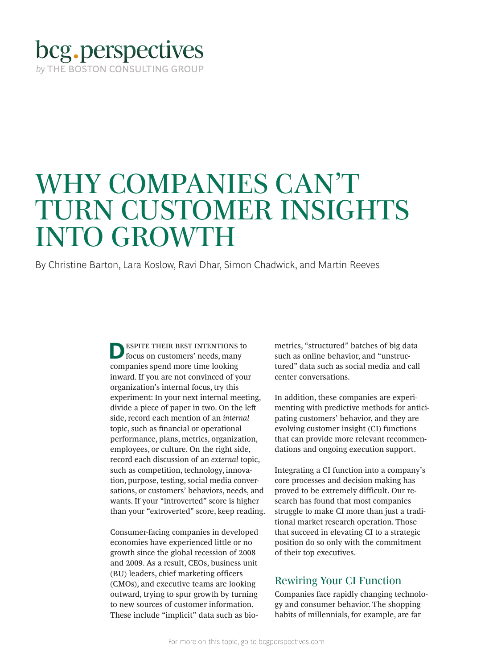# bcg.perspectives by THE BOSTON CONSULTING GROUP

# WHY COMPANIES CAN'T TURN CUSTOMER INSIGHTS INTO GROWTH

By Christine Barton, Lara Koslow, Ravi Dhar, Simon Chadwick, and Martin Reeves

**DESPITE THEIR BEST INTENTIONS to** focus on customers' needs, many companies spend more time looking inward. If you are not convinced of your organization's internal focus, try this experiment: In your next internal meeting, divide a piece of paper in two. On the lef side, record each mention of an *internal* topic, such as fnancial or operational performance, plans, metrics, organization, employees, or culture. On the right side, record each discussion of an *external* topic, such as competition, technology, innovation, purpose, testing, social media conversations, or customers' behaviors, needs, and wants. If your "introverted" score is higher than your "extroverted" score, keep reading.

Consumer-facing companies in developed economies have experienced little or no growth since the global recession of 2008 and 2009. As a result, CEOs, business unit (BU) leaders, chief marketing officers (CMOs), and executive teams are looking outward, trying to spur growth by turning to new sources of customer information. These include "implicit" data such as biometrics, "structured" batches of big data such as online behavior, and "unstructured" data such as social media and call center conversations.

In addition, these companies are experimenting with predictive methods for anticipating customers' behavior, and they are evolving customer insight (CI) functions that can provide more relevant recommendations and ongoing execution support.

Integrating a CI function into a company's core processes and decision making has proved to be extremely difficult. Our research has found that most companies struggle to make CI more than just a traditional market research operation. Those that succeed in elevating CI to a strategic position do so only with the commitment of their top executives.

# Rewiring Your CI Function

Companies face rapidly changing technology and consumer behavior. The shopping habits of millennials, for example, are far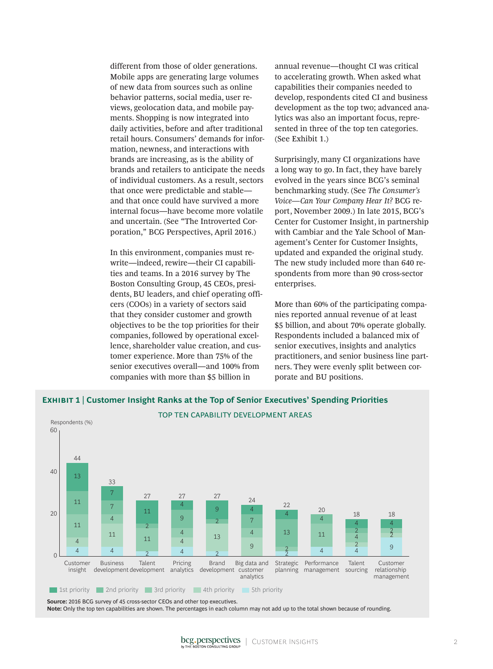different from those of older generations. Mobile apps are generating large volumes of new data from sources such as online behavior patterns, social media, user reviews, geolocation data, and mobile payments. Shopping is now integrated into daily activities, before and after traditional retail hours. Consumers' demands for information, newness, and interactions with brands are increasing, as is the ability of brands and retailers to anticipate the needs of individual customers. As a result, sectors that once were predictable and stable and that once could have survived a more internal focus—have become more volatile and uncertain. (See "The Introverted Corporation," BCG Perspectives, April 2016.)

In this environment, companies must rewrite—indeed, rewire—their CI capabilities and teams. In a 2016 survey by The Boston Consulting Group, 45 CEOs, presidents, BU leaders, and chief operating officers (COOs) in a variety of sectors said that they consider customer and growth objectives to be the top priorities for their companies, followed by operational excellence, shareholder value creation, and customer experience. More than 75% of the senior executives overall—and 100% from companies with more than \$5 billion in

annual revenue—thought CI was critical to accelerating growth. When asked what capabilities their companies needed to develop, respondents cited CI and business development as the top two; advanced analytics was also an important focus, represented in three of the top ten categories. (See Exhibit 1.)

Surprisingly, many CI organizations have a long way to go. In fact, they have barely evolved in the years since BCG's seminal benchmarking study. (See *The Consumer's Voice—Can Your Company Hear It?* BCG report, November 2009.) In late 2015, BCG's Center for Customer Insight, in partnership with Cambiar and the Yale School of Management's Center for Customer Insights, updated and expanded the original study. The new study included more than 640 respondents from more than 90 cross-sector enterprises.

More than 60% of the participating companies reported annual revenue of at least \$5 billion, and about 70% operate globally. Respondents included a balanced mix of senior executives, insights and analytics practitioners, and senior business line partners. They were evenly split between corporate and BU positions.



# **Exhibit 1 | Customer Insight Ranks at the Top of Senior Executives' Spending Priorities**

**Source:** 2016 BCG survey of 45 cross-sector CEOs and other top executives. **Note:** Only the top ten capabilities are shown. The percentages in each column may not add up to the total shown because of rounding.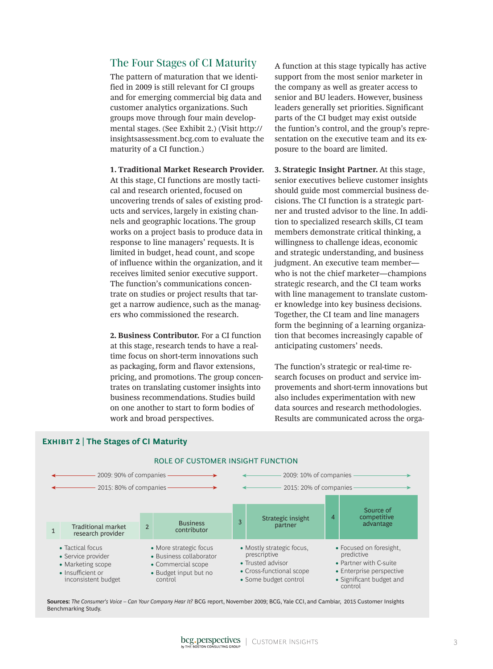## The Four Stages of CI Maturity

The pattern of maturation that we identified in 2009 is still relevant for CI groups and for emerging commercial big data and customer analytics organizations. Such groups move through four main developmental stages. (See Exhibit 2.) (Visit http:// insightsassessment.bcg.com to evaluate the maturity of a CI function.)

**1. Traditional Market Research Provider.**

At this stage, CI functions are mostly tactical and research oriented, focused on uncovering trends of sales of existing products and services, largely in existing channels and geographic locations. The group works on a project basis to produce data in response to line managers' requests. It is limited in budget, head count, and scope of influence within the organization, and it receives limited senior executive support. The function's communications concentrate on studies or project results that target a narrow audience, such as the managers who commissioned the research.

**2. Business Contributor.** For a CI function at this stage, research tends to have a realtime focus on short-term innovations such as packaging, form and flavor extensions, pricing, and promotions. The group concentrates on translating customer insights into business recommendations. Studies build on one another to start to form bodies of work and broad perspectives.

A function at this stage typically has active support from the most senior marketer in the company as well as greater access to senior and BU leaders. However, business leaders generally set priorities. Significant parts of the CI budget may exist outside the funtion's control, and the group's representation on the executive team and its exposure to the board are limited.

**3. Strategic Insight Partner.** At this stage, senior executives believe customer insights should guide most commercial business decisions. The CI function is a strategic partner and trusted advisor to the line. In addition to specialized research skills, CI team members demonstrate critical thinking, a willingness to challenge ideas, economic and strategic understanding, and business judgment. An executive team member who is not the chief marketer—champions strategic research, and the CI team works with line management to translate customer knowledge into key business decisions. Together, the CI team and line managers form the beginning of a learning organization that becomes increasingly capable of anticipating customers' needs.

The function's strategic or real-time research focuses on product and service improvements and short-term innovations but also includes experimentation with new data sources and research methodologies. Results are communicated across the orga-



#### **Sources:** *The Consumer's Voice – Can Your Company Hear It?* BCG report, November 2009; BCG, Yale CCI, and Cambiar, 2015 Customer Insights Benchmarking Study.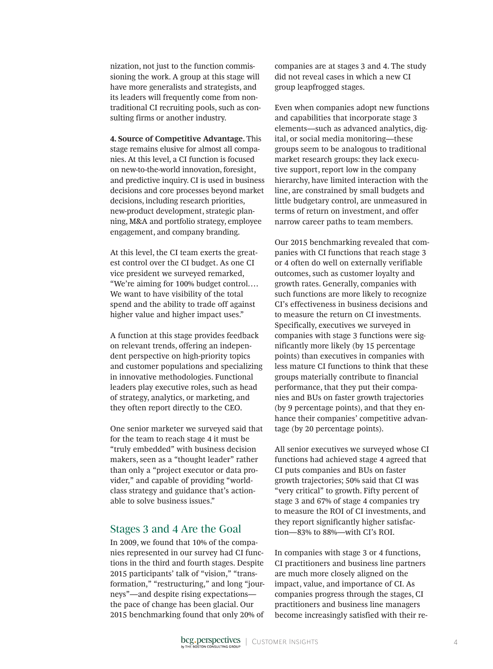nization, not just to the function commissioning the work. A group at this stage will have more generalists and strategists, and its leaders will frequently come from nontraditional CI recruiting pools, such as consulting firms or another industry.

**4. Source of Competitive Advantage.** This stage remains elusive for almost all companies. At this level, a CI function is focused on new-to-the-world innovation, foresight, and predictive inquiry. CI is used in business decisions and core processes beyond market decisions, including research priorities, new-product development, strategic planning, M&A and portfolio strategy, employee engagement, and company branding.

At this level, the CI team exerts the greatest control over the CI budget. As one CI vice president we surveyed remarked, "We're aiming for 100% budget control…. We want to have visibility of the total spend and the ability to trade off against higher value and higher impact uses."

A function at this stage provides feedback on relevant trends, offering an independent perspective on high-priority topics and customer populations and specializing in innovative methodologies. Functional leaders play executive roles, such as head of strategy, analytics, or marketing, and they often report directly to the CEO.

One senior marketer we surveyed said that for the team to reach stage 4 it must be "truly embedded" with business decision makers, seen as a "thought leader" rather than only a "project executor or data provider," and capable of providing "worldclass strategy and guidance that's actionable to solve business issues."

### Stages 3 and 4 Are the Goal

In 2009, we found that 10% of the companies represented in our survey had CI functions in the third and fourth stages. Despite 2015 participants' talk of "vision," "transformation," "restructuring," and long "journeys"—and despite rising expectations the pace of change has been glacial. Our 2015 benchmarking found that only 20% of

companies are at stages 3 and 4. The study did not reveal cases in which a new CI group leapfrogged stages.

Even when companies adopt new functions and capabilities that incorporate stage 3 elements—such as advanced analytics, digital, or social media monitoring—these groups seem to be analogous to traditional market research groups: they lack executive support, report low in the company hierarchy, have limited interaction with the line, are constrained by small budgets and little budgetary control, are unmeasured in terms of return on investment, and offer narrow career paths to team members.

Our 2015 benchmarking revealed that companies with CI functions that reach stage 3 or 4 often do well on externally verifiable outcomes, such as customer loyalty and growth rates. Generally, companies with such functions are more likely to recognize CI's effectiveness in business decisions and to measure the return on CI investments. Specifically, executives we surveyed in companies with stage 3 functions were significantly more likely (by 15 percentage points) than executives in companies with less mature CI functions to think that these groups materially contribute to financial performance, that they put their companies and BUs on faster growth trajectories (by 9 percentage points), and that they enhance their companies' competitive advantage (by 20 percentage points).

All senior executives we surveyed whose CI functions had achieved stage 4 agreed that CI puts companies and BUs on faster growth trajectories; 50% said that CI was "very critical" to growth. Fifty percent of stage 3 and 67% of stage 4 companies try to measure the ROI of CI investments, and they report significantly higher satisfaction—83% to 88%—with CI's ROI.

In companies with stage 3 or 4 functions, CI practitioners and business line partners are much more closely aligned on the impact, value, and importance of CI. As companies progress through the stages, CI practitioners and business line managers become increasingly satisfied with their re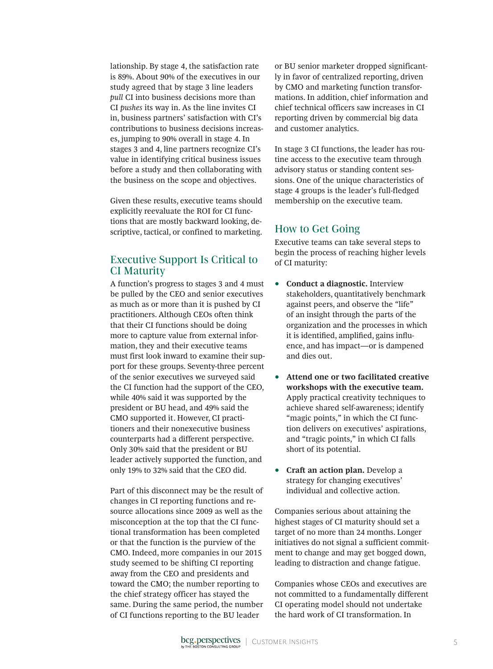lationship. By stage 4, the satisfaction rate is 89%. About 90% of the executives in our study agreed that by stage 3 line leaders *pull* CI into business decisions more than CI *pushes* its way in. As the line invites CI in, business partners' satisfaction with CI's contributions to business decisions increases, jumping to 90% overall in stage 4. In stages 3 and 4, line partners recognize CI's value in identifying critical business issues before a study and then collaborating with the business on the scope and objectives.

Given these results, executive teams should explicitly reevaluate the ROI for CI functions that are mostly backward looking, descriptive, tactical, or confined to marketing.

# Executive Support Is Critical to CI Maturity

A function's progress to stages 3 and 4 must be pulled by the CEO and senior executives as much as or more than it is pushed by CI practitioners. Although CEOs often think that their CI functions should be doing more to capture value from external information, they and their executive teams must first look inward to examine their support for these groups. Seventy-three percent of the senior executives we surveyed said the CI function had the support of the CEO, while 40% said it was supported by the president or BU head, and 49% said the CMO supported it. However, CI practitioners and their nonexecutive business counterparts had a different perspective. Only 30% said that the president or BU leader actively supported the function, and only 19% to 32% said that the CEO did.

Part of this disconnect may be the result of changes in CI reporting functions and resource allocations since 2009 as well as the misconception at the top that the CI functional transformation has been completed or that the function is the purview of the CMO. Indeed, more companies in our 2015 study seemed to be shifting CI reporting away from the CEO and presidents and toward the CMO; the number reporting to the chief strategy officer has stayed the same. During the same period, the number of CI functions reporting to the BU leader

or BU senior marketer dropped significantly in favor of centralized reporting, driven by CMO and marketing function transformations. In addition, chief information and chief technical officers saw increases in CI reporting driven by commercial big data and customer analytics.

In stage 3 CI functions, the leader has routine access to the executive team through advisory status or standing content sessions. One of the unique characteristics of stage 4 groups is the leader's full-fledged membership on the executive team.

### How to Get Going

Executive teams can take several steps to begin the process of reaching higher levels of CI maturity:

- **Conduct a diagnostic.** Interview stakeholders, quantitatively benchmark against peers, and observe the "life" of an insight through the parts of the organization and the processes in which it is identifed, amplifed, gains infuence, and has impact—or is dampened and dies out.
- **Attend one or two facilitated creative workshops with the executive team.** Apply practical creativity techniques to achieve shared self-awareness; identify "magic points," in which the CI function delivers on executives' aspirations, and "tragic points," in which CI falls short of its potential.
- **Craft an action plan.** Develop a strategy for changing executives' individual and collective action.

Companies serious about attaining the highest stages of CI maturity should set a target of no more than 24 months. Longer initiatives do not signal a sufficient commitment to change and may get bogged down, leading to distraction and change fatigue.

Companies whose CEOs and executives are not committed to a fundamentally different CI operating model should not undertake the hard work of CI transformation. In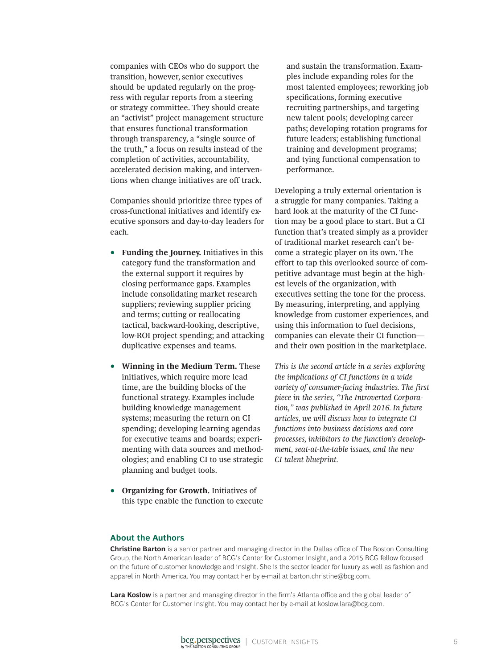companies with CEOs who do support the transition, however, senior executives should be updated regularly on the progress with regular reports from a steering or strategy committee. They should create an "activist" project management structure that ensures functional transformation through transparency, a "single source of the truth," a focus on results instead of the completion of activities, accountability, accelerated decision making, and interventions when change initiatives are off track.

Companies should prioritize three types of cross-functional initiatives and identify executive sponsors and day-to-day leaders for each.

- **Funding the Journey.** Initiatives in this category fund the transformation and the external support it requires by closing performance gaps. Examples include consolidating market research suppliers; reviewing supplier pricing and terms; cutting or reallocating tactical, backward-looking, descriptive, low-ROI project spending; and attacking duplicative expenses and teams.
- **Winning in the Medium Term.** These initiatives, which require more lead time, are the building blocks of the functional strategy. Examples include building knowledge management systems; measuring the return on CI spending; developing learning agendas for executive teams and boards; experimenting with data sources and methodologies; and enabling CI to use strategic planning and budget tools.
- **Organizing for Growth.** Initiatives of this type enable the function to execute

and sustain the transformation. Examples include expanding roles for the most talented employees; reworking job specifcations, forming executive recruiting partnerships, and targeting new talent pools; developing career paths; developing rotation programs for future leaders; establishing functional training and development programs; and tying functional compensation to performance.

Developing a truly external orientation is a struggle for many companies. Taking a hard look at the maturity of the CI function may be a good place to start. But a CI function that's treated simply as a provider of traditional market research can't become a strategic player on its own. The effort to tap this overlooked source of competitive advantage must begin at the highest levels of the organization, with executives setting the tone for the process. By measuring, interpreting, and applying knowledge from customer experiences, and using this information to fuel decisions, companies can elevate their CI function and their own position in the marketplace.

*This is the second article in a series exploring the implications of CI functions in a wide variety of consumer-facing industries. The first piece in the series, "The Introverted Corporation," was published in April 2016. In future articles, we will discuss how to integrate CI functions into business decisions and core processes, inhibitors to the function's development, seat-at-the-table issues, and the new CI talent blueprint.*

#### **About the Authors**

**Christine Barton** is a senior partner and managing director in the Dallas office of The Boston Consulting Group, the North American leader of BCG's Center for Customer Insight, and a 2015 BCG fellow focused on the future of customer knowledge and insight. She is the sector leader for luxury as well as fashion and apparel in North America. You may contact her by e-mail at barton.christine@bcg.com.

**Lara Koslow** is a partner and managing director in the firm's Atlanta office and the global leader of BCG's Center for Customer Insight. You may contact her by e-mail at koslow.lara@bcg.com.